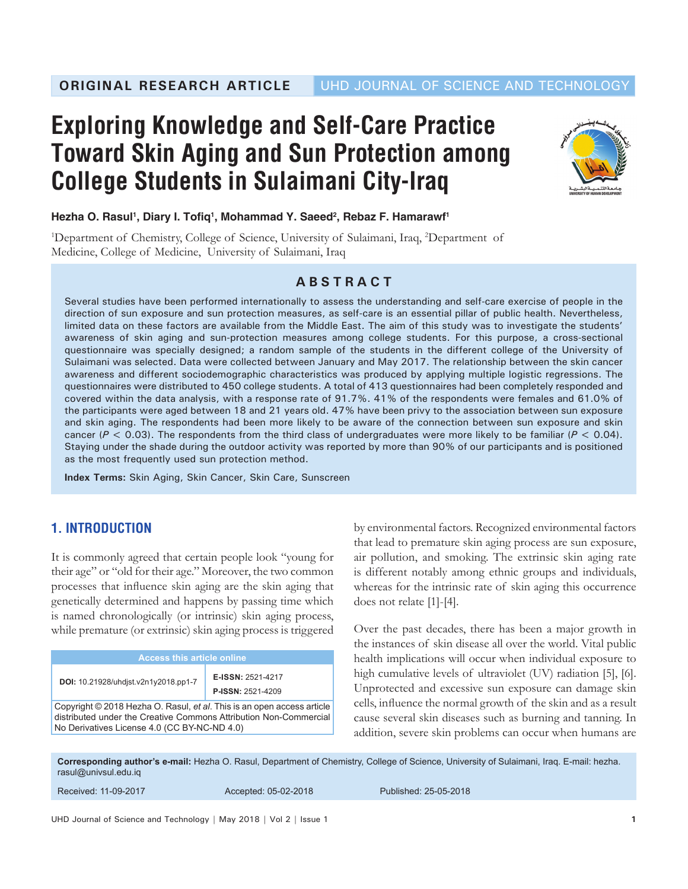# **Exploring Knowledge and Self-Care Practice Toward Skin Aging and Sun Protection among College Students in Sulaimani City-Iraq**



## **Hezha O. Rasul1 , Diary I. Tofiq<sup>1</sup> , Mohammad Y. Saeed2 , Rebaz F. Hamarawf1**

<sup>1</sup>Department of Chemistry, College of Science, University of Sulaimani, Iraq, <sup>2</sup>Department of Medicine, College of Medicine, University of Sulaimani, Iraq

## **ABSTRACT**

Several studies have been performed internationally to assess the understanding and self-care exercise of people in the direction of sun exposure and sun protection measures, as self-care is an essential pillar of public health. Nevertheless, limited data on these factors are available from the Middle East. The aim of this study was to investigate the students' awareness of skin aging and sun-protection measures among college students. For this purpose, a cross-sectional questionnaire was specially designed; a random sample of the students in the different college of the University of Sulaimani was selected. Data were collected between January and May 2017. The relationship between the skin cancer awareness and different sociodemographic characteristics was produced by applying multiple logistic regressions. The questionnaires were distributed to 450 college students. A total of 413 questionnaires had been completely responded and covered within the data analysis, with a response rate of 91.7%. 41% of the respondents were females and 61.0% of the participants were aged between 18 and 21 years old. 47% have been privy to the association between sun exposure and skin aging. The respondents had been more likely to be aware of the connection between sun exposure and skin cancer (*P* < 0.03). The respondents from the third class of undergraduates were more likely to be familiar (*P* < 0.04). Staying under the shade during the outdoor activity was reported by more than 90% of our participants and is positioned as the most frequently used sun protection method.

**Index Terms:** Skin Aging, Skin Cancer, Skin Care, Sunscreen

# **1. INTRODUCTION**

It is commonly agreed that certain people look "young for their age" or "old for their age." Moreover, the two common processes that influence skin aging are the skin aging that genetically determined and happens by passing time which is named chronologically (or intrinsic) skin aging process, while premature (or extrinsic) skin aging process is triggered

| <b>Access this article online</b>                                                                                                                                                           |                                               |  |
|---------------------------------------------------------------------------------------------------------------------------------------------------------------------------------------------|-----------------------------------------------|--|
| DOI: 10.21928/uhdist.v2n1y2018.pp1-7                                                                                                                                                        | E-ISSN: 2521-4217<br><b>P-ISSN: 2521-4209</b> |  |
| Copyright © 2018 Hezha O. Rasul, et al. This is an open access article<br>distributed under the Creative Commons Attribution Non-Commercial<br>No Derivatives License 4.0 (CC BY-NC-ND 4.0) |                                               |  |

by environmental factors. Recognized environmental factors that lead to premature skin aging process are sun exposure, air pollution, and smoking. The extrinsic skin aging rate is different notably among ethnic groups and individuals, whereas for the intrinsic rate of skin aging this occurrence does not relate [1]-[4].

Over the past decades, there has been a major growth in the instances of skin disease all over the world. Vital public health implications will occur when individual exposure to high cumulative levels of ultraviolet (UV) radiation [5], [6]. Unprotected and excessive sun exposure can damage skin cells, influence the normal growth of the skin and as a result cause several skin diseases such as burning and tanning. In addition, severe skin problems can occur when humans are

**Corresponding author's e-mail:** Hezha O. Rasul, Department of Chemistry, College of Science, University of Sulaimani, Iraq. E-mail: hezha. rasul@univsul.edu.iq

| Received: 11-09-2017 | Accepted: 05-02-2018 | Published: 25-05-2018 |
|----------------------|----------------------|-----------------------|
|                      |                      |                       |

UHD Journal of Science and Technology | May 2018 | Vol 2 | Issue 1 **1 1**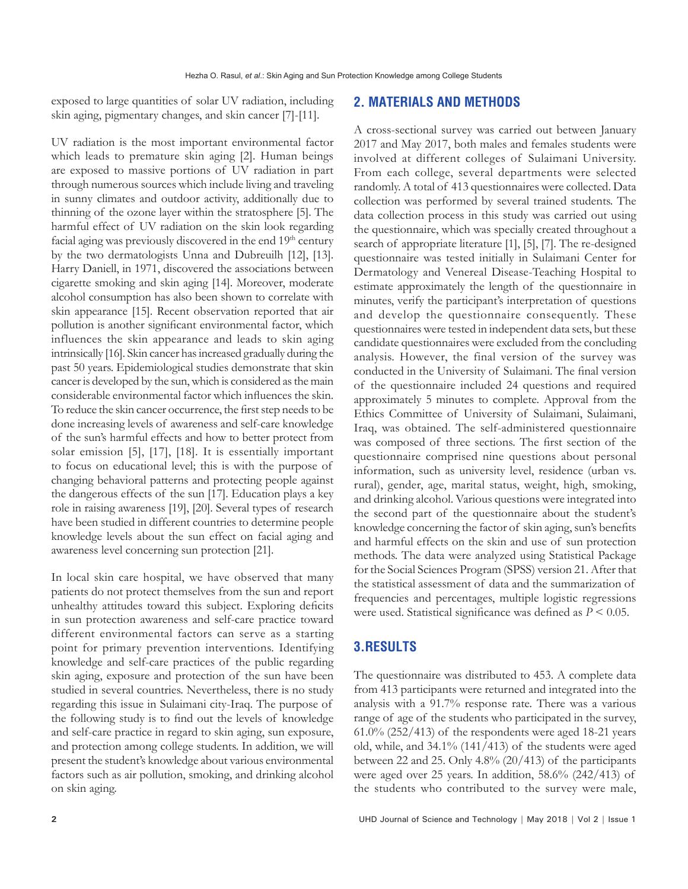exposed to large quantities of solar UV radiation, including skin aging, pigmentary changes, and skin cancer [7]-[11].

UV radiation is the most important environmental factor which leads to premature skin aging [2]. Human beings are exposed to massive portions of UV radiation in part through numerous sources which include living and traveling in sunny climates and outdoor activity, additionally due to thinning of the ozone layer within the stratosphere [5]. The harmful effect of UV radiation on the skin look regarding facial aging was previously discovered in the end 19<sup>th</sup> century by the two dermatologists Unna and Dubreuilh [12], [13]. Harry Daniell, in 1971, discovered the associations between cigarette smoking and skin aging [14]. Moreover, moderate alcohol consumption has also been shown to correlate with skin appearance [15]. Recent observation reported that air pollution is another significant environmental factor, which influences the skin appearance and leads to skin aging intrinsically [16]. Skin cancer has increased gradually during the past 50 years. Epidemiological studies demonstrate that skin cancer is developed by the sun, which is considered as the main considerable environmental factor which influences the skin. To reduce the skin cancer occurrence, the first step needs to be done increasing levels of awareness and self-care knowledge of the sun's harmful effects and how to better protect from solar emission [5], [17], [18]. It is essentially important to focus on educational level; this is with the purpose of changing behavioral patterns and protecting people against the dangerous effects of the sun [17]. Education plays a key role in raising awareness [19], [20]. Several types of research have been studied in different countries to determine people knowledge levels about the sun effect on facial aging and awareness level concerning sun protection [21].

In local skin care hospital, we have observed that many patients do not protect themselves from the sun and report unhealthy attitudes toward this subject. Exploring deficits in sun protection awareness and self-care practice toward different environmental factors can serve as a starting point for primary prevention interventions. Identifying knowledge and self-care practices of the public regarding skin aging, exposure and protection of the sun have been studied in several countries. Nevertheless, there is no study regarding this issue in Sulaimani city-Iraq. The purpose of the following study is to find out the levels of knowledge and self-care practice in regard to skin aging, sun exposure, and protection among college students. In addition, we will present the student's knowledge about various environmental factors such as air pollution, smoking, and drinking alcohol on skin aging.

#### **2. MATERIALS AND METHODS**

A cross-sectional survey was carried out between January 2017 and May 2017, both males and females students were involved at different colleges of Sulaimani University. From each college, several departments were selected randomly. A total of 413 questionnaires were collected. Data collection was performed by several trained students. The data collection process in this study was carried out using the questionnaire, which was specially created throughout a search of appropriate literature [1], [5], [7]. The re-designed questionnaire was tested initially in Sulaimani Center for Dermatology and Venereal Disease-Teaching Hospital to estimate approximately the length of the questionnaire in minutes, verify the participant's interpretation of questions and develop the questionnaire consequently. These questionnaires were tested in independent data sets, but these candidate questionnaires were excluded from the concluding analysis. However, the final version of the survey was conducted in the University of Sulaimani. The final version of the questionnaire included 24 questions and required approximately 5 minutes to complete. Approval from the Ethics Committee of University of Sulaimani, Sulaimani, Iraq, was obtained. The self-administered questionnaire was composed of three sections. The first section of the questionnaire comprised nine questions about personal information, such as university level, residence (urban vs. rural), gender, age, marital status, weight, high, smoking, and drinking alcohol. Various questions were integrated into the second part of the questionnaire about the student's knowledge concerning the factor of skin aging, sun's benefits and harmful effects on the skin and use of sun protection methods. The data were analyzed using Statistical Package for the Social Sciences Program (SPSS) version 21. After that the statistical assessment of data and the summarization of frequencies and percentages, multiple logistic regressions were used. Statistical significance was defined as *P* < 0.05.

## **3.RESULTS**

The questionnaire was distributed to 453. A complete data from 413 participants were returned and integrated into the analysis with a 91.7% response rate. There was a various range of age of the students who participated in the survey, 61.0% (252/413) of the respondents were aged 18-21 years old, while, and 34.1% (141/413) of the students were aged between 22 and 25. Only  $4.8\%$  (20/413) of the participants were aged over 25 years. In addition, 58.6% (242/413) of the students who contributed to the survey were male,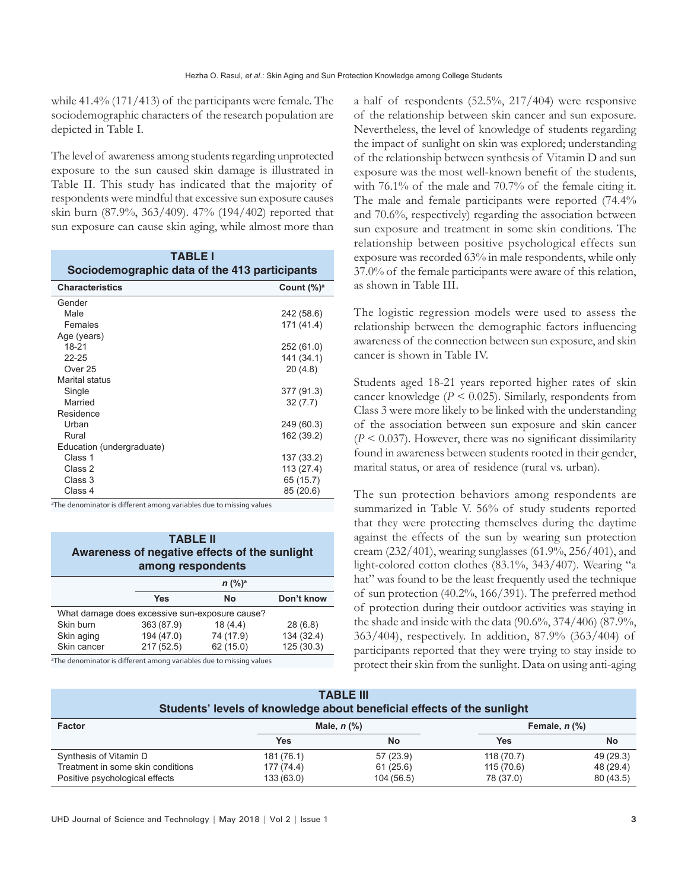while 41.4% (171/413) of the participants were female. The sociodemographic characters of the research population are depicted in Table I.

The level of awareness among students regarding unprotected exposure to the sun caused skin damage is illustrated in Table II. This study has indicated that the majority of respondents were mindful that excessive sun exposure causes skin burn (87.9%, 363/409). 47% (194/402) reported that sun exposure can cause skin aging, while almost more than

| <b>TABLE I</b><br>Sociodemographic data of the 413 participants |                |  |
|-----------------------------------------------------------------|----------------|--|
| <b>Characteristics</b>                                          | Count $(\%)^a$ |  |
| Gender                                                          |                |  |
| Male                                                            | 242 (58.6)     |  |
| Females                                                         | 171 (41.4)     |  |
| Age (years)                                                     |                |  |
| $18 - 21$                                                       | 252 (61.0)     |  |
| 22-25                                                           | 141 (34.1)     |  |
| Over 25                                                         | 20(4.8)        |  |
| Marital status                                                  |                |  |
| Single                                                          | 377 (91.3)     |  |
| Married                                                         | 32(7.7)        |  |
| Residence                                                       |                |  |
| Urban                                                           | 249 (60.3)     |  |
| Rural                                                           | 162 (39.2)     |  |
| Education (undergraduate)                                       |                |  |
| Class 1                                                         | 137 (33.2)     |  |
| Class 2                                                         | 113 (27.4)     |  |
| Class 3                                                         | 65 (15.7)      |  |
| Class 4                                                         | 85 (20.6)      |  |

<sup>a</sup>The denominator is different among variables due to missing values

| <b>TABLE II</b><br>Awareness of negative effects of the sunlight<br>among respondents |            |           |            |
|---------------------------------------------------------------------------------------|------------|-----------|------------|
|                                                                                       |            | $n (%)^a$ |            |
|                                                                                       | <b>Yes</b> | No        | Don't know |
| What damage does excessive sun-exposure cause?                                        |            |           |            |
| Skin burn                                                                             | 363 (87.9) | 18(4.4)   | 28(6.8)    |
| Skin aging                                                                            | 194 (47.0) | 74 (17.9) | 134 (32.4) |
| Skin cancer                                                                           | 217(52.5)  | 62 (15.0) | 125(30.3)  |

<sup>a</sup>The denominator is different among variables due to missing values

a half of respondents (52.5%, 217/404) were responsive of the relationship between skin cancer and sun exposure. Nevertheless, the level of knowledge of students regarding the impact of sunlight on skin was explored; understanding of the relationship between synthesis of Vitamin D and sun exposure was the most well-known benefit of the students, with 76.1% of the male and 70.7% of the female citing it. The male and female participants were reported (74.4% and 70.6%, respectively) regarding the association between sun exposure and treatment in some skin conditions. The relationship between positive psychological effects sun exposure was recorded 63% in male respondents, while only 37.0% of the female participants were aware of this relation, as shown in Table III.

The logistic regression models were used to assess the relationship between the demographic factors influencing awareness of the connection between sun exposure, and skin cancer is shown in Table IV.

Students aged 18-21 years reported higher rates of skin cancer knowledge (*P* < 0.025). Similarly, respondents from Class 3 were more likely to be linked with the understanding of the association between sun exposure and skin cancer  $(P < 0.037)$ . However, there was no significant dissimilarity found in awareness between students rooted in their gender, marital status, or area of residence (rural vs. urban).

The sun protection behaviors among respondents are summarized in Table V. 56% of study students reported that they were protecting themselves during the daytime against the effects of the sun by wearing sun protection cream (232/401), wearing sunglasses (61.9%, 256/401), and light-colored cotton clothes (83.1%, 343/407). Wearing "a hat" was found to be the least frequently used the technique of sun protection (40.2%, 166/391). The preferred method of protection during their outdoor activities was staying in the shade and inside with the data (90.6%, 374/406) (87.9%, 363/404), respectively. In addition, 87.9% (363/404) of participants reported that they were trying to stay inside to protect their skin from the sunlight. Data on using anti-aging

| <b>TABLE III</b><br>Students' levels of knowledge about beneficial effects of the sunlight |                                                                                |            |            |           |
|--------------------------------------------------------------------------------------------|--------------------------------------------------------------------------------|------------|------------|-----------|
| <b>Factor</b>                                                                              | Female, $n$ $\left(\frac{9}{6}\right)$<br>Male, $n$ $\left(\frac{9}{6}\right)$ |            |            |           |
|                                                                                            | Yes                                                                            | No         | <b>Yes</b> | No        |
| Synthesis of Vitamin D                                                                     | 181 (76.1)                                                                     | 57 (23.9)  | 118 (70.7) | 49 (29.3) |
| Treatment in some skin conditions                                                          | 177 (74.4)                                                                     | 61(25.6)   | 115 (70.6) | 48 (29.4) |
| Positive psychological effects                                                             | 133 (63.0)                                                                     | 104 (56.5) | 78 (37.0)  | 80 (43.5) |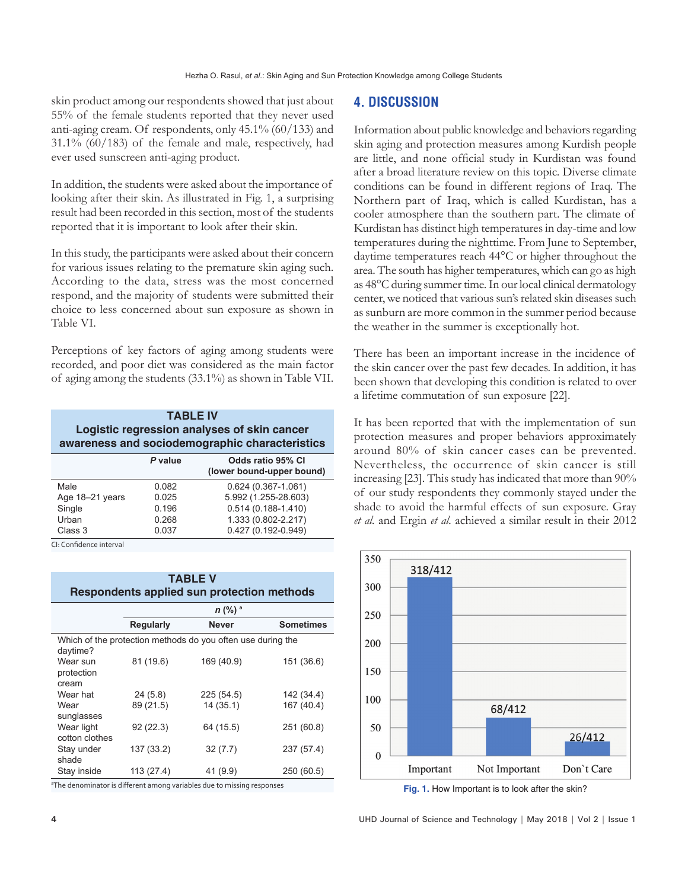skin product among our respondents showed that just about 55% of the female students reported that they never used anti-aging cream. Of respondents, only 45.1% (60/133) and 31.1% (60/183) of the female and male, respectively, had ever used sunscreen anti-aging product.

In addition, the students were asked about the importance of looking after their skin. As illustrated in Fig. 1, a surprising result had been recorded in this section, most of the students reported that it is important to look after their skin.

In this study, the participants were asked about their concern for various issues relating to the premature skin aging such. According to the data, stress was the most concerned respond, and the majority of students were submitted their choice to less concerned about sun exposure as shown in Table VI.

Perceptions of key factors of aging among students were recorded, and poor diet was considered as the main factor of aging among the students (33.1%) as shown in Table VII.

| <b>TABLE IV</b><br>Logistic regression analyses of skin cancer<br>awareness and sociodemographic characteristics |  |  |
|------------------------------------------------------------------------------------------------------------------|--|--|
| Odds ratio 95% CI<br>P value<br>(lower bound-upper bound)                                                        |  |  |
|                                                                                                                  |  |  |

| Male            | 0.082 | $0.624(0.367 - 1.061)$ |  |
|-----------------|-------|------------------------|--|
| Age 18-21 years | 0.025 | 5.992 (1.255-28.603)   |  |
| Single          | 0.196 | $0.514(0.188 - 1.410)$ |  |
| Urban           | 0.268 | 1.333 (0.802-2.217)    |  |
| Class 3         | 0.037 | $0.427(0.192 - 0.949)$ |  |
|                 |       |                        |  |

CI: Confidence interval

sunglasses

Wear light cotton clothes

| <b>TABLE V</b><br>Respondents applied sun protection methods |                  |                                                             |                  |
|--------------------------------------------------------------|------------------|-------------------------------------------------------------|------------------|
|                                                              |                  | $n$ (%) $^{\circ}$                                          |                  |
|                                                              | <b>Regularly</b> | <b>Never</b>                                                | <b>Sometimes</b> |
| daytime?                                                     |                  | Which of the protection methods do you often use during the |                  |
| Wear sun<br>protection<br>cream                              | 81 (19.6)        | 169 (40.9)                                                  | 151 (36.6)       |
| Wear hat                                                     | 24(5.8)          | 225 (54.5)                                                  | 142 (34.4)       |
| Wear                                                         | 89 (21.5)        | 14 (35.1)                                                   | 167 (40.4)       |

92 (22.3) 64 (15.5) 251 (60.8)

Stay under shade 137 (33.2) 32 (7.7) 237 (57.4) Stay inside 113 (27.4) 41 (9.9) 250 (60.5)

<sup>a</sup>The denominator is different among variables due to missing responses

### **4. DISCUSSION**

Information about public knowledge and behaviors regarding skin aging and protection measures among Kurdish people are little, and none official study in Kurdistan was found after a broad literature review on this topic. Diverse climate conditions can be found in different regions of Iraq. The Northern part of Iraq, which is called Kurdistan, has a cooler atmosphere than the southern part. The climate of Kurdistan has distinct high temperatures in day-time and low temperatures during the nighttime. From June to September, daytime temperatures reach 44°C or higher throughout the area. The south has higher temperatures, which can go as high as 48°C during summer time. In our local clinical dermatology center, we noticed that various sun's related skin diseases such as sunburn are more common in the summer period because the weather in the summer is exceptionally hot.

There has been an important increase in the incidence of the skin cancer over the past few decades. In addition, it has been shown that developing this condition is related to over a lifetime commutation of sun exposure [22].

It has been reported that with the implementation of sun protection measures and proper behaviors approximately around 80% of skin cancer cases can be prevented. Nevertheless, the occurrence of skin cancer is still increasing [23]. This study has indicated that more than 90% of our study respondents they commonly stayed under the shade to avoid the harmful effects of sun exposure. Gray *et al.* and Ergin *et al.* achieved a similar result in their 2012



**Fig. 1.** How Important is to look after the skin?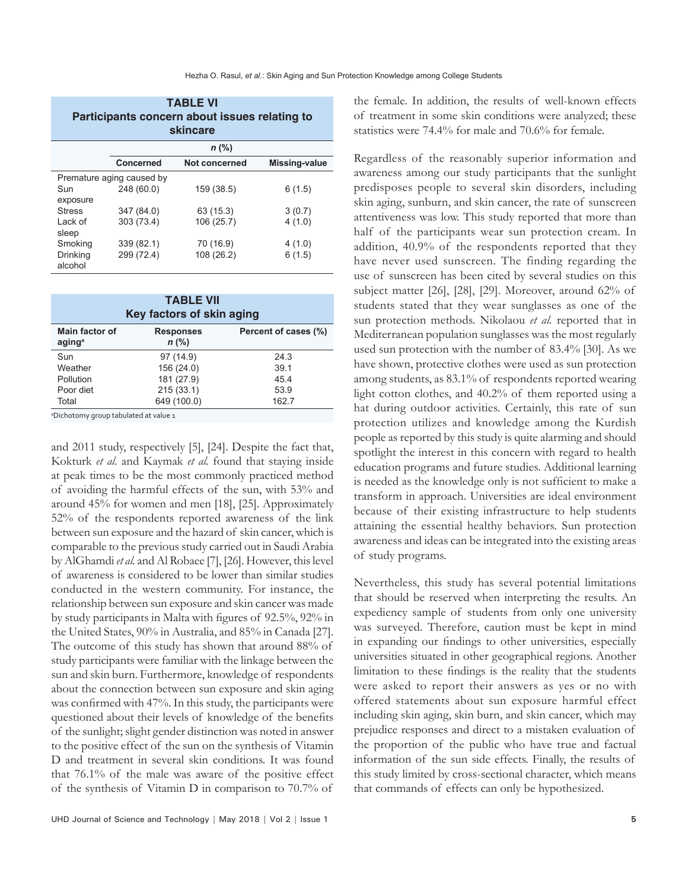| <b>TABLE VI</b><br>Participants concern about issues relating to<br>skincare |                           |               |               |
|------------------------------------------------------------------------------|---------------------------|---------------|---------------|
|                                                                              |                           | $n$ (%)       |               |
|                                                                              | Concerned                 | Not concerned | Missing-value |
|                                                                              | Premature aging caused by |               |               |
| Sun<br>exposure                                                              | 248 (60.0)                | 159 (38.5)    | 6(1.5)        |
| <b>Stress</b>                                                                | 347 (84.0)                | 63 (15.3)     | 3(0.7)        |
| Lack of<br>sleep                                                             | 303 (73.4)                | 106 (25.7)    | 4(1.0)        |
| Smoking                                                                      | 339 (82.1)                | 70 (16.9)     | 4(1.0)        |
| Drinking<br>alcohol                                                          | 299 (72.4)                | 108 (26.2)    | 6(1.5)        |

| <b>TABLE VII</b><br>Key factors of skin aging |                             |                      |  |
|-----------------------------------------------|-----------------------------|----------------------|--|
| Main factor of<br>aging <sup>a</sup>          | <b>Responses</b><br>$n$ (%) | Percent of cases (%) |  |
| Sun                                           | 97 (14.9)                   | 24.3                 |  |
| Weather                                       | 156 (24.0)                  | 39.1                 |  |
| Pollution                                     | 181 (27.9)                  | 45.4                 |  |
| Poor diet                                     | 215(33.1)                   | 53.9                 |  |
| Total                                         | 649 (100.0)                 | 162.7                |  |

a Dichotomy group tabulated at value 1

and 2011 study, respectively [5], [24]. Despite the fact that, Kokturk *et al.* and Kaymak *et al.* found that staying inside at peak times to be the most commonly practiced method of avoiding the harmful effects of the sun, with 53% and around 45% for women and men [18], [25]. Approximately 52% of the respondents reported awareness of the link between sun exposure and the hazard of skin cancer, which is comparable to the previous study carried out in Saudi Arabia by AlGhamdi *et al.* and Al Robaee [7], [26]. However, this level of awareness is considered to be lower than similar studies conducted in the western community. For instance, the relationship between sun exposure and skin cancer was made by study participants in Malta with figures of 92.5%, 92% in the United States, 90% in Australia, and 85% in Canada [27]. The outcome of this study has shown that around 88% of study participants were familiar with the linkage between the sun and skin burn. Furthermore, knowledge of respondents about the connection between sun exposure and skin aging was confirmed with 47%. In this study, the participants were questioned about their levels of knowledge of the benefits of the sunlight; slight gender distinction was noted in answer to the positive effect of the sun on the synthesis of Vitamin D and treatment in several skin conditions. It was found that 76.1% of the male was aware of the positive effect of the synthesis of Vitamin D in comparison to 70.7% of

the female. In addition, the results of well-known effects of treatment in some skin conditions were analyzed; these statistics were 74.4% for male and 70.6% for female.

Regardless of the reasonably superior information and awareness among our study participants that the sunlight predisposes people to several skin disorders, including skin aging, sunburn, and skin cancer, the rate of sunscreen attentiveness was low. This study reported that more than half of the participants wear sun protection cream. In addition, 40.9% of the respondents reported that they have never used sunscreen. The finding regarding the use of sunscreen has been cited by several studies on this subject matter [26], [28], [29]. Moreover, around 62% of students stated that they wear sunglasses as one of the sun protection methods. Nikolaou *et al.* reported that in Mediterranean population sunglasses was the most regularly used sun protection with the number of 83.4% [30]. As we have shown, protective clothes were used as sun protection among students, as 83.1% of respondents reported wearing light cotton clothes, and 40.2% of them reported using a hat during outdoor activities. Certainly, this rate of sun protection utilizes and knowledge among the Kurdish people as reported by this study is quite alarming and should spotlight the interest in this concern with regard to health education programs and future studies. Additional learning is needed as the knowledge only is not sufficient to make a transform in approach. Universities are ideal environment because of their existing infrastructure to help students attaining the essential healthy behaviors. Sun protection awareness and ideas can be integrated into the existing areas of study programs.

Nevertheless, this study has several potential limitations that should be reserved when interpreting the results. An expediency sample of students from only one university was surveyed. Therefore, caution must be kept in mind in expanding our findings to other universities, especially universities situated in other geographical regions. Another limitation to these findings is the reality that the students were asked to report their answers as yes or no with offered statements about sun exposure harmful effect including skin aging, skin burn, and skin cancer, which may prejudice responses and direct to a mistaken evaluation of the proportion of the public who have true and factual information of the sun side effects. Finally, the results of this study limited by cross-sectional character, which means that commands of effects can only be hypothesized.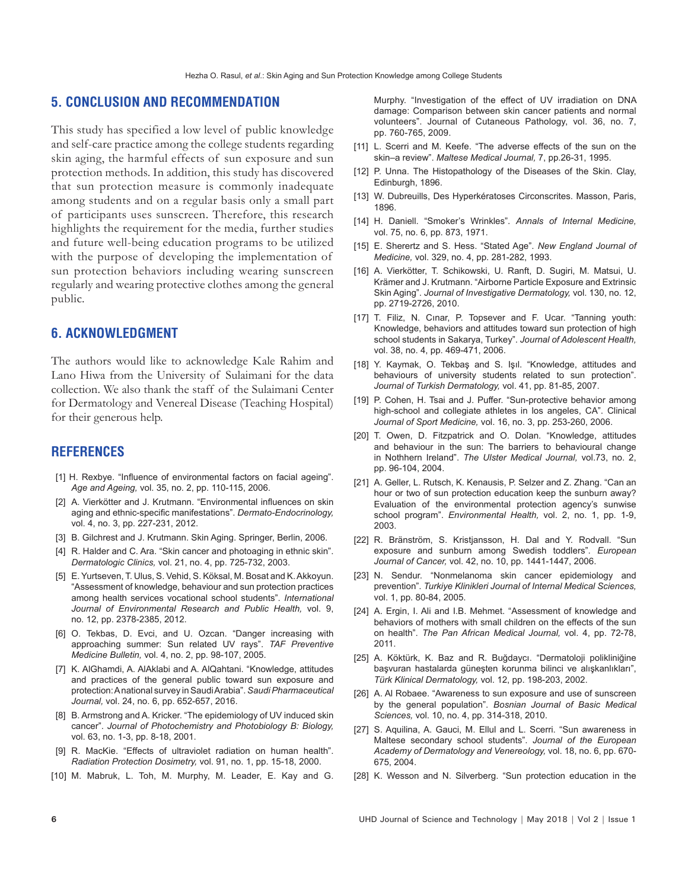#### **5. CONCLUSION AND RECOMMENDATION**

This study has specified a low level of public knowledge and self-care practice among the college students regarding skin aging, the harmful effects of sun exposure and sun protection methods. In addition, this study has discovered that sun protection measure is commonly inadequate among students and on a regular basis only a small part of participants uses sunscreen. Therefore, this research highlights the requirement for the media, further studies and future well-being education programs to be utilized with the purpose of developing the implementation of sun protection behaviors including wearing sunscreen regularly and wearing protective clothes among the general public.

## **6. ACKNOWLEDGMENT**

The authors would like to acknowledge Kale Rahim and Lano Hiwa from the University of Sulaimani for the data collection. We also thank the staff of the Sulaimani Center for Dermatology and Venereal Disease (Teaching Hospital) for their generous help.

#### **REFERENCES**

- [1] H. Rexbye. "Influence of environmental factors on facial ageing". *Age and Ageing,* vol. 35, no. 2, pp. 110-115, 2006.
- [2] A. Vierkötter and J. Krutmann. "Environmental influences on skin aging and ethnic-specific manifestations". *Dermato-Endocrinology,*  vol. 4, no. 3, pp. 227-231, 2012.
- [3] B. Gilchrest and J. Krutmann. Skin Aging. Springer, Berlin, 2006.
- [4] R. Halder and C. Ara. "Skin cancer and photoaging in ethnic skin". *Dermatologic Clinics,* vol. 21, no. 4, pp. 725-732, 2003.
- [5] E. Yurtseven, T. Ulus, S. Vehid, S. Köksal, M. Bosat and K. Akkoyun. "Assessment of knowledge, behaviour and sun protection practices among health services vocational school students". *International Journal of Environmental Research and Public Health,* vol. 9, no. 12, pp. 2378-2385, 2012.
- [6] O. Tekbas, D. Evci, and U. Ozcan. "Danger increasing with approaching summer: Sun related UV rays". *TAF Preventive Medicine Bulletin,* vol. 4, no. 2, pp. 98-107, 2005.
- [7] K. AlGhamdi, A. AlAklabi and A. AlQahtani. "Knowledge, attitudes and practices of the general public toward sun exposure and protection:Anational survey inSaudiArabia".*Saudi Pharmaceutical Journal,* vol. 24, no. 6, pp. 652-657, 2016.
- [8] B. Armstrong and A. Kricker. "The epidemiology of UV induced skin cancer". *Journal of Photochemistry and Photobiology B: Biology,*  vol. 63, no. 1-3, pp. 8-18, 2001.
- [9] R. MacKie. "Effects of ultraviolet radiation on human health". *Radiation Protection Dosimetry,* vol. 91, no. 1, pp. 15-18, 2000.
- [10] M. Mabruk, L. Toh, M. Murphy, M. Leader, E. Kay and G.

Murphy. "Investigation of the effect of UV irradiation on DNA damage: Comparison between skin cancer patients and normal volunteers". Journal of Cutaneous Pathology, vol. 36, no. 7, pp. 760-765, 2009.

- [11] L. Scerri and M. Keefe. "The adverse effects of the sun on the skin–a review". *Maltese Medical Journal,* 7, pp.26-31, 1995.
- [12] P. Unna. The Histopathology of the Diseases of the Skin. Clay, Edinburgh, 1896.
- [13] W. Dubreuills, Des Hyperkératoses Circonscrites. Masson, Paris, 1896.
- [14] H. Daniell. "Smoker's Wrinkles". Annals of Internal Medicine, vol. 75, no. 6, pp. 873, 1971.
- [15] E. Sherertz and S. Hess. "Stated Age". *New England Journal of Medicine,* vol. 329, no. 4, pp. 281-282, 1993.
- [16] A. Vierkötter, T. Schikowski, U. Ranft, D. Sugiri, M. Matsui, U. Krämer and J. Krutmann. "Airborne Particle Exposure and Extrinsic Skin Aging". *Journal of Investigative Dermatology,* vol. 130, no. 12, pp. 2719-2726, 2010.
- [17] T. Filiz, N. Cinar, P. Topsever and F. Ucar. "Tanning youth: Knowledge, behaviors and attitudes toward sun protection of high school students in Sakarya, Turkey". *Journal of Adolescent Health,*  vol. 38, no. 4, pp. 469-471, 2006.
- [18] Y. Kaymak, O. Tekbaş and S. Işıl. "Knowledge, attitudes and behaviours of university students related to sun protection". *Journal of Turkish Dermatology,* vol. 41, pp. 81-85, 2007.
- [19] P. Cohen, H. Tsai and J. Puffer. "Sun-protective behavior among high-school and collegiate athletes in los angeles, CA". Clinical *Journal of Sport Medicine,* vol. 16, no. 3, pp. 253-260, 2006.
- [20] T. Owen, D. Fitzpatrick and O. Dolan. "Knowledge, attitudes and behaviour in the sun: The barriers to behavioural change in Nothhern Ireland". *The Ulster Medical Journal,* vol.73, no. 2, pp. 96-104, 2004.
- [21] A. Geller, L. Rutsch, K. Kenausis, P. Selzer and Z. Zhang. "Can an hour or two of sun protection education keep the sunburn away? Evaluation of the environmental protection agency's sunwise school program". *Environmental Health,* vol. 2, no. 1, pp. 1-9, 2003.
- [22] R. Bränström, S. Kristjansson, H. Dal and Y. Rodvall. "Sun exposure and sunburn among Swedish toddlers". *European Journal of Cancer,* vol. 42, no. 10, pp. 1441-1447, 2006.
- [23] N. Sendur. "Nonmelanoma skin cancer epidemiology and prevention". *Turkiye Klinikleri Journal of Internal Medical Sciences,*  vol. 1, pp. 80-84, 2005.
- [24] A. Ergin, I. Ali and I.B. Mehmet. "Assessment of knowledge and behaviors of mothers with small children on the effects of the sun on health". *The Pan African Medical Journal,* vol. 4, pp. 72-78, 2011.
- [25] A. Köktürk, K. Baz and R. Buğdaycı. "Dermatoloji polikliniğine başvuran hastalarda güneşten korunma bilinci ve alışkanlıkları", *Türk Klinical Dermatology,* vol. 12, pp. 198-203, 2002.
- [26] A. Al Robaee. "Awareness to sun exposure and use of sunscreen by the general population". *Bosnian Journal of Basic Medical Sciences,* vol. 10, no. 4, pp. 314-318, 2010.
- [27] S. Aquilina, A. Gauci, M. Ellul and L. Scerri. "Sun awareness in Maltese secondary school students". *Journal of the European Academy of Dermatology and Venereology,* vol. 18, no. 6, pp. 670- 675, 2004.
- [28] K. Wesson and N. Silverberg. "Sun protection education in the